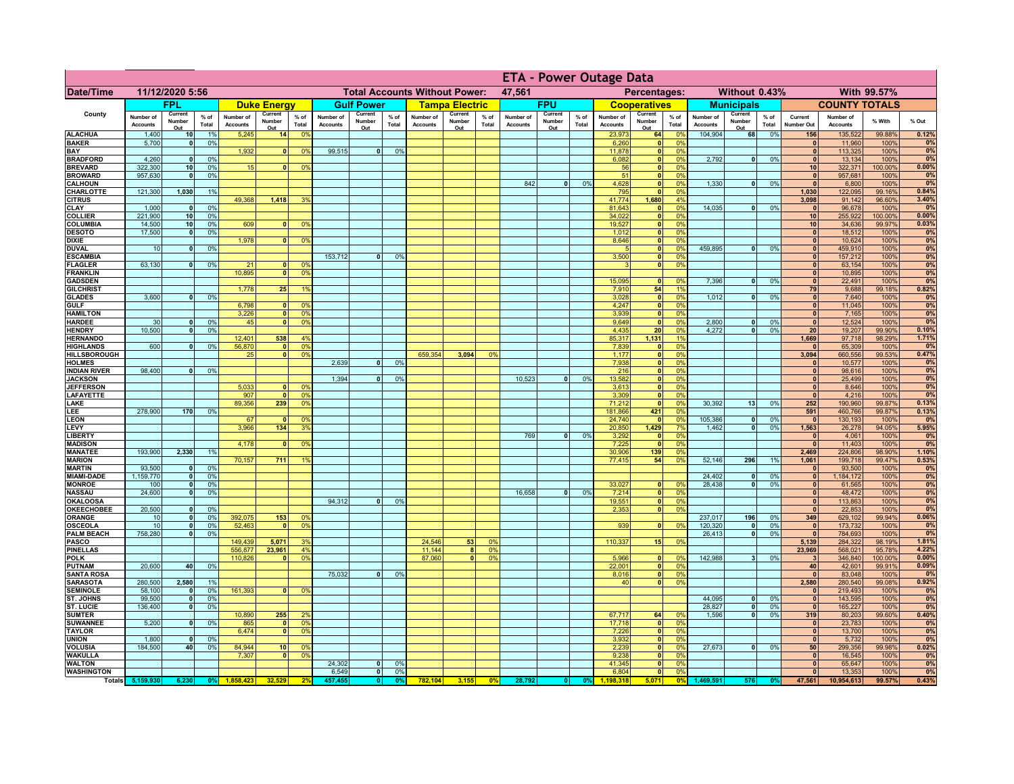|                                      |                              |                              |                 |                              |                          |                                  |                              | <b>ETA - Power Outage Data</b> |                |                                      |                          |                |                              |                          |               |                              |                               |                             |                              |                              |                 |                              |                              |                |                |
|--------------------------------------|------------------------------|------------------------------|-----------------|------------------------------|--------------------------|----------------------------------|------------------------------|--------------------------------|----------------|--------------------------------------|--------------------------|----------------|------------------------------|--------------------------|---------------|------------------------------|-------------------------------|-----------------------------|------------------------------|------------------------------|-----------------|------------------------------|------------------------------|----------------|----------------|
| <b>Date/Time</b>                     |                              | 11/12/2020 5:56              |                 |                              |                          |                                  |                              |                                |                | <b>Total Accounts Without Power:</b> |                          |                | 47,561                       |                          |               |                              | Percentages:                  |                             |                              | Without 0.43%                |                 |                              |                              | With 99.57%    |                |
|                                      |                              | <b>FPL</b>                   |                 |                              | <b>Duke Energy</b>       |                                  |                              | <b>Gulf Power</b>              |                |                                      | <b>Tampa Electric</b>    |                |                              | <b>FPU</b>               |               |                              | <b>Cooperatives</b>           |                             |                              | <b>Municipals</b>            |                 |                              | <b>COUNTY TOTALS</b>         |                |                |
| County                               | Number of<br><b>Accounts</b> | Current<br>Number<br>Out     | $%$ of<br>Total | Number of<br><b>Accounts</b> | Current<br>Number<br>Out | $%$ of<br>Total                  | Number of<br><b>Accounts</b> | Current<br>Number<br>Out       | % of<br>Total  | Number of<br><b>Accounts</b>         | Current<br>Number<br>Out | % of<br>Total  | Number of<br><b>Accounts</b> | Current<br>Number<br>Out | % of<br>Total | Number of<br><b>Accounts</b> | Current<br>Number<br>Out      | $%$ of<br>Total             | Number of<br><b>Accounts</b> | Current<br>Number<br>Out     | $%$ of<br>Total | Current<br><b>Number Out</b> | Number of<br><b>Accounts</b> | % With         | % Out          |
| <b>ALACHUA</b>                       | 1,400                        | 10 <sup>1</sup>              | 1%              | 5,245                        | 14                       | 0 <sup>9</sup>                   |                              |                                |                |                                      |                          |                |                              |                          |               | 23,973                       | 64                            | 0 <sup>9</sup>              | 104,904                      | 68                           | 0%              | 156                          | 135,522                      | 99.88%         | 0.12%          |
| <b>BAKER</b><br>BAY                  | 5,700                        | $\Omega$                     | 0%              | 1,932                        | $\mathbf{0}$             | 0 <sup>9</sup>                   | 99,515                       | $\overline{0}$                 | 0%             |                                      |                          |                |                              |                          |               | 6,260<br>11,878              | 0 <br> 0                      | 0 <sup>9</sup><br>0%        |                              |                              |                 | $\bf{0}$<br>$\mathbf{0}$     | 11,960<br>113,325            | 100%<br>100%   | 0%<br>0%       |
| <b>BRADFORD</b>                      | 4,260                        | $\mathbf{0}$                 | 0%              |                              |                          |                                  |                              |                                |                |                                      |                          |                |                              |                          |               | 6,082                        | 0                             | 0%                          | 2,792                        | $\mathbf{0}$                 | 0%              | $\Omega$                     | 13,134                       | 100%           | 0%             |
| <b>BREVARD</b>                       | 322,300                      | 10                           | 0%              | 15                           | $\Omega$                 | 0%                               |                              |                                |                |                                      |                          |                |                              |                          |               | 56                           |                               | 0 <br>0%                    |                              |                              |                 | 10 <sup>1</sup>              | 322,371                      | 100.00%        | 0.00%          |
| <b>BROWARD</b><br><b>CALHOUN</b>     | 957,630                      | $\mathbf{0}$                 | 0%              |                              |                          |                                  |                              |                                |                |                                      |                          |                | 842                          | $\mathbf{0}$             | 0%            | 51<br>4,628                  | 0 <br> 0                      | 0%<br>0%                    | 1,330                        | $\mathbf{0}$                 | 0%              | $\mathbf{0}$<br>$\mathbf{0}$ | 957,681<br>6,800             | 100%<br>100%   | 0%<br>0%       |
| CHARLOTTE                            | 121,300                      | 1,030                        | 1%              |                              |                          |                                  |                              |                                |                |                                      |                          |                |                              |                          |               | 795                          | 0                             | 0%                          |                              |                              |                 | 1,030                        | 122,095                      | 99.16%         | 0.84%          |
| <b>CITRUS</b><br><b>CLAY</b>         | 1,000                        | $\mathbf{0}$                 | 0%              | 49,368                       | 1,418                    | 39                               |                              |                                |                |                                      |                          |                |                              |                          |               | 41,774<br>81,643             | 1,680<br> 0                   | 4%<br>0 <sup>9</sup>        | 14,035                       | $\mathbf{0}$                 | 0%              | 3,098<br>$\mathbf{0}$        | 91,142<br>96,678             | 96.60%<br>100% | 3.40%<br>0%    |
| <b>COLLIER</b>                       | 221,900                      | 10                           | 0 <sup>9</sup>  |                              |                          |                                  |                              |                                |                |                                      |                          |                |                              |                          |               | 34,022                       | 0                             | 0%                          |                              |                              |                 | 10                           | 255,922                      | 100.00%        | 0.00%          |
| <b>COLUMBIA</b>                      | 14,500                       | 10                           | 0%              | 609                          |                          | 0%                               |                              |                                |                |                                      |                          |                |                              |                          |               | 19,527                       | 0                             | 0%                          |                              |                              |                 | 10                           | 34,636                       | 99.97%         | 0.03%          |
| <b>DESOTO</b><br><b>DIXIE</b>        | 17,500                       | $\mathbf{0}$                 | 0%              | 1,978                        |                          | 0 <sup>9</sup>                   |                              |                                |                |                                      |                          |                |                              |                          |               | 1,012<br>8,646               | 0 <br> 0                      | 0%<br>0%                    |                              |                              |                 | $\mathbf{0}$<br>$\mathbf{0}$ | 18,512<br>10,624             | 100%<br>100%   | 0%<br>0%       |
| <b>DUVAL</b>                         | 10                           | $\mathbf{0}$                 | 0%              |                              |                          |                                  |                              |                                |                |                                      |                          |                |                              |                          |               |                              | 0                             | 0%                          | 459,895                      | $\mathbf{0}$                 | 0%              | $\mathbf{0}$                 | 459,910                      | 100%           | 0%             |
| <b>ESCAMBIA</b>                      | 63,130                       |                              |                 |                              |                          |                                  | 153,712                      | $\Omega$                       | 0 <sup>9</sup> |                                      |                          |                |                              |                          |               | 3,500                        | 0 <br>$\overline{\mathbf{0}}$ | 0%                          |                              |                              |                 | $\mathbf{0}$                 | 157,212                      | 100%           | 0%             |
| <b>FLAGLER</b><br><b>FRANKLIN</b>    |                              | $\mathbf{0}$                 | 0%              | 21<br>10,895                 | $\Omega$                 | 0 <sup>9</sup><br>0 <sup>9</sup> |                              |                                |                |                                      |                          |                |                              |                          |               | 3                            |                               | 0%                          |                              |                              |                 | $\mathbf{0}$<br>$\mathbf{0}$ | 63,154<br>10,895             | 100%<br>100%   | 0%<br>0%       |
| <b>GADSDEN</b>                       |                              |                              |                 |                              |                          |                                  |                              |                                |                |                                      |                          |                |                              |                          |               | 15.095                       | 0                             | 0%                          | 7,396                        | 0                            | 0%              | $\Omega$                     | 22,491                       | 100%           | 0%             |
| <b>GILCHRIST</b>                     | 3,600                        |                              | 0%              | 1.778                        | 25                       | 1 <sup>9</sup>                   |                              |                                |                |                                      |                          |                |                              |                          |               | 7,910<br>3,028               | 54<br> 0                      | 1%<br>0%                    | 1,012                        | $\bullet$                    | 0%              | 79<br>$\mathbf{0}$           | 9,688                        | 99.18%<br>100% | 0.82%<br>0%    |
| <b>GLADES</b><br><b>GULF</b>         |                              | 0                            |                 | 6,798                        | $\mathbf{0}$             | 0%                               |                              |                                |                |                                      |                          |                |                              |                          |               | 4,247                        | 0                             | 0%                          |                              |                              |                 | 0                            | 7,640<br>11,045              | 100%           | 0%             |
| <b>HAMILTON</b>                      |                              |                              |                 | 3,226                        | 0                        | 0 <sup>9</sup>                   |                              |                                |                |                                      |                          |                |                              |                          |               | 3,939                        | 0                             | 0%                          |                              |                              |                 | $\mathbf{0}$                 | 7,165                        | 100%           | 0%             |
| <b>HARDEE</b><br><b>HENDRY</b>       | 30<br>10.500                 | $\Omega$<br>$\overline{0}$   | 0%<br>0%        | 45                           | $\mathbf{a}$             | 0 <sup>9</sup>                   |                              |                                |                |                                      |                          |                |                              |                          |               | 9,649<br>4,435               | 0 <br>20                      | 0%<br>0%                    | 2,800<br>4.272               | $\mathbf{0}$<br>$\bullet$    | 0%<br>0%        | $\Omega$<br>20               | 12,524<br>19,207             | 100%<br>99.90% | 0%<br>0.10%    |
| <b>HERNANDO</b>                      |                              |                              |                 | 12,401                       | 538                      | 4%                               |                              |                                |                |                                      |                          |                |                              |                          |               | 85,317                       | 1,131                         | 1%                          |                              |                              |                 | 1,669                        | 97,718                       | 98.29%         | 1.71%          |
| <b>HIGHLANDS</b>                     | 600                          | $\Omega$                     | 0 <sup>9</sup>  | 56,870                       | $\mathbf{0}$             | 0 <sup>9</sup>                   |                              |                                |                |                                      |                          |                |                              |                          |               | 7,839                        | 0                             | 0%                          |                              |                              |                 | $\mathbf{0}$                 | 65,309                       | 100%           | 0%             |
| HILLSBOROUGH<br><b>HOLMES</b>        |                              |                              |                 | 25                           | $\Omega$                 | 0 <sup>9</sup>                   | 2,639                        | n l                            | 0%             | 659,354                              | 3,094                    | 0 <sup>9</sup> |                              |                          |               | 1,177<br>7,938               | 0 <br> 0                      | 0%<br>0%                    |                              |                              |                 | 3,094<br>$\Omega$            | 660,556<br>10,577            | 99.53%<br>100% | 0.47%<br>0%    |
| <b>INDIAN RIVER</b>                  | 98,400                       |                              | 0%              |                              |                          |                                  |                              |                                |                |                                      |                          |                |                              |                          |               | 216                          | 0                             | 0%                          |                              |                              |                 | 0                            | 98,616                       | 100%           | 0%             |
| <b>JACKSON</b>                       |                              |                              |                 |                              |                          |                                  | 1,394                        | <sub>0</sub>                   | 0 <sup>9</sup> |                                      |                          |                | 10.523                       |                          | 0%            | 13,582                       | 0                             | 0%                          |                              |                              |                 | 0                            | 25,499                       | 100%           | 0%             |
| <b>JEFFERSON</b><br><b>LAFAYETTE</b> |                              |                              |                 | 5,033<br>907                 |                          | 0 <sup>9</sup><br>0%             |                              |                                |                |                                      |                          |                |                              |                          |               | 3,613<br>3,309               | 0 <br> 0                      | 0%<br>0%                    |                              |                              |                 | 0 <br>$\mathbf{0}$           | 8,646<br>4,216               | 100%<br>100%   | 0%<br>0%       |
| LAKE                                 |                              |                              |                 | 89,356                       | 239                      | 0 <sup>9</sup>                   |                              |                                |                |                                      |                          |                |                              |                          |               | 71,212                       | 0                             | 0%                          | 30,392                       | 13                           | 0%              | 252                          | 190,960                      | 99.87%         | 0.13%          |
| LEE<br><b>LEON</b>                   | 278,900                      | 170                          | 0%              | 67                           |                          | 0 <sup>9</sup>                   |                              |                                |                |                                      |                          |                |                              |                          |               | 181,866<br>24,740            | 421<br> 0                     | 0%<br>0%                    | 105,386                      | $\mathbf{0}$                 | 0%              | 591<br> 0                    | 460,766<br>130,193           | 99.87%<br>100% | 0.13%<br>0%    |
| LEVY                                 |                              |                              |                 | 3,966                        | $134$                    | 39                               |                              |                                |                |                                      |                          |                |                              |                          |               | 20,850                       | 1,429                         | 7%                          | 1,462                        | $\mathbf{0}$                 | 0%              | 1,563                        | 26,278                       | 94.05%         | 5.95%          |
| <b>LIBERTY</b>                       |                              |                              |                 |                              |                          |                                  |                              |                                |                |                                      |                          |                | 769                          | $\mathbf{0}$             | 0%            | 3,292                        | $\mathbf{0}$                  | 0%                          |                              |                              |                 | $\mathbf{0}$                 | 4,061                        | 100%           | 0%             |
| <b>MADISON</b><br><b>MANATEE</b>     | 193,900                      | 2,330                        | 1%              | 4,178                        | $\mathbf{0}$             | 0 <sup>9</sup>                   |                              |                                |                |                                      |                          |                |                              |                          |               | 7,225<br>30,906              | 0 <br>139                     | 0%<br>0%                    |                              |                              |                 | 0 <br>2,469                  | 11,403<br>224,806            | 100%<br>98.90% | 0%<br>1.10%    |
| <b>MARION</b>                        |                              |                              |                 | 70,157                       | 711                      |                                  |                              |                                |                |                                      |                          |                |                              |                          |               | 77,415                       | 54                            | 0%                          | 52,146                       | 296                          | 1%              | 1,061                        | 199,718                      | 99.47%         | 0.53%          |
| <b>MARTIN</b>                        | 93,500                       | 0                            | 0%              |                              |                          |                                  |                              |                                |                |                                      |                          |                |                              |                          |               |                              |                               |                             |                              |                              |                 | $\bullet$                    | 93,500                       | 100%           | 0%<br>0%       |
| <b>MIAMI-DADE</b><br><b>MONROE</b>   | 1,159,770<br>100             | 0 <br> 0                     | 0%<br>0%        |                              |                          |                                  |                              |                                |                |                                      |                          |                |                              |                          |               | 33,027                       | 0                             | $\Omega$ %                  | 24,402<br>28,438             | $\mathbf{0}$<br>$\mathbf{0}$ | 0%<br>0%        | 0 <br> 0                     | 1,184,172<br>61,565          | 100%<br>100%   | 0%             |
| <b>NASSAU</b>                        | 24,600                       | 0                            | 0%              |                              |                          |                                  |                              |                                |                |                                      |                          |                | 16,658                       | $\Omega$                 | 0%            | 7,214                        | 0                             | 0%                          |                              |                              |                 | 0                            | 48,472                       | 100%           | 0%             |
| <b>OKALOOSA</b>                      | 20,500                       | 0                            | 0%              |                              |                          |                                  | 94,312                       | 0                              | 0%             |                                      |                          |                |                              |                          |               | 19,551<br>2,353              | 0 <br> 0                      | 0%<br>0%                    |                              |                              |                 | 0 <br> 0                     | 113,863<br>22,853            | 100%<br>100%   | 0%<br>0%       |
| <b>OKEECHOBEE</b><br><b>ORANGE</b>   | 10                           | 0                            | 0%              | 392,075                      | 153                      | 0 <sup>9</sup>                   |                              |                                |                |                                      |                          |                |                              |                          |               |                              |                               |                             | 237,017                      | 196                          | 0%              | 349                          | 629,102                      | 99.94%         | 0.06%          |
| <b>OSCEOLA</b>                       | 10                           | 0                            | 0%              | 52,463                       | $\Omega$                 | 0 <sup>9</sup>                   |                              |                                |                |                                      |                          |                |                              |                          |               | 939                          | 0                             | 0%                          | 120,320                      | $\mathbf{0}$                 | 0%              | $\mathbf{0}$                 | 173,732                      | 100%           | 0%             |
| <b>PALM BEACH</b><br><b>PASCO</b>    | 758,280                      | $\overline{\mathbf{0}}$      | 0%              | 149,439                      | 5,071                    | 39                               |                              |                                |                | 24,546                               | 53                       | $^{\circ}$     |                              |                          |               | 110,337                      | 15                            | 0%                          | 26,413                       | $\mathbf{0}$                 | 0%              | $\mathbf{0}$<br>5,139        | 784,693<br>284,322           | 100%<br>98.19% | 0%<br>1.81%    |
| <b>PINELLAS</b>                      |                              |                              |                 | 556,877                      | 23,961                   | 4 <sup>9</sup>                   |                              |                                |                | 11,144                               | 8 <sup>1</sup>           | 0 <sup>9</sup> |                              |                          |               |                              |                               |                             |                              |                              |                 | 23,969                       | 568,021                      | 95.78%         | 4.22%          |
| <b>POLK</b>                          |                              |                              |                 | 110,826                      | $\Omega$                 | 0 <sup>9</sup>                   |                              |                                |                | 87,060                               | $\Omega$                 | 0 <sup>9</sup> |                              |                          |               | 5,966                        |                               | 0 <br>$\Omega$ <sup>o</sup> | 142,988                      | 3 <sup>1</sup>               | 0%              | $\mathbf{3}$                 | 346,840                      | 100.00%        | 0.00%<br>0.09% |
| <b>PUTNAM</b><br><b>SANTA ROSA</b>   | 20,600                       | 40                           | 0%              |                              |                          |                                  | 75,032                       | $\mathbf{0}$                   | 0 <sup>9</sup> |                                      |                          |                |                              |                          |               | 22,001<br>8,016              | 0                             | 0%<br> 0 <br>0%             |                              |                              |                 | 40<br>$\mathbf{0}$           | 42,601<br>83,048             | 99.91%<br>100% | 0%             |
| <b>SARASOTA</b>                      | 280,500                      | 2,580                        | 1%              |                              |                          |                                  |                              |                                |                |                                      |                          |                |                              |                          |               | 40                           |                               | 0 <br>0%                    |                              |                              |                 | 2,580                        | 280,540                      | 99.08%         | 0.92%          |
| <b>SEMINOLE</b><br>ST. JOHNS         | 58,100<br>99,500             | $\mathbf{0}$<br>$\mathbf{0}$ | 0%<br>0%        | 161,393                      |                          | 0 <sup>9</sup>                   |                              |                                |                |                                      |                          |                |                              |                          |               |                              |                               |                             | 44,095                       | $\bullet$                    | 0%              | $\mathbf{0}$<br>$\mathbf{0}$ | 219,493<br>143,595           | 100%<br>100%   | 0%<br>0%       |
| <b>ST. LUCIE</b>                     | 136,400                      | $\mathbf{0}$                 | 0%              |                              |                          |                                  |                              |                                |                |                                      |                          |                |                              |                          |               |                              |                               |                             | 28,827                       | $\bullet$                    | 0%              | $\mathbf{0}$                 | 165,227                      | 100%           | 0%             |
| <b>SUMTER</b>                        |                              |                              |                 | 10,890                       | 255                      | 2 <sup>0</sup>                   |                              |                                |                |                                      |                          |                |                              |                          |               | 67,717                       | 64                            | 0%                          | 1,596                        | $\bullet$                    | 0%              | 319                          | 80,203                       | 99.60%         | 0.40%          |
| <b>SUWANNEE</b><br><b>TAYLOR</b>     | 5,200                        | $\mathbf{0}$                 | 0%              | 865<br>6,474                 | $\mathbf{0}$<br>$\Omega$ | 0%<br>0%                         |                              |                                |                |                                      |                          |                |                              |                          |               | 17,718<br>7,226              | 0 <br> 0                      | 0%<br>0%                    |                              |                              |                 | $\mathbf{0}$<br>$\mathbf{0}$ | 23,783<br>13,700             | 100%<br>100%   | 0%<br>0%       |
| <b>UNION</b>                         | 1,800                        | $\mathbf{0}$                 | 0%              |                              |                          |                                  |                              |                                |                |                                      |                          |                |                              |                          |               | $\frac{3,932}{2,239}$        | 0                             | 0%                          |                              |                              |                 | $\bullet$                    | 5,732                        | 100%           | 0%             |
| <b>VOLUSIA</b>                       | 184,500                      | 40                           | 0%              | 84,944                       | 10                       | 0%                               |                              |                                |                |                                      |                          |                |                              |                          |               |                              | 0                             | 0%                          | 27,673                       | 0                            | 0%              | 50                           | 299,356                      | 99.98%         | 0.02%          |
| <b>WAKULLA</b><br><b>WALTON</b>      |                              |                              |                 | 7,307                        | $\Omega$                 | 0 <sup>9</sup>                   | 24,302                       | 0                              | 0 <sup>9</sup> |                                      |                          |                |                              |                          |               | 9,238<br>41,345              | 0 <br>$\overline{\bullet}$    | 0%<br>0%                    |                              |                              |                 | $\bullet$<br>$\mathbf{0}$    | 16,545<br>65,647             | 100%<br>100%   | 0%<br>0%       |
| <b>WASHINGTON</b>                    |                              |                              |                 |                              |                          |                                  | 6,549                        | 0                              | 0%             |                                      |                          |                |                              |                          |               | 6,804                        | $\overline{\bullet}$          | 0%                          |                              |                              |                 | 0                            | 13,353                       | 100%           | 0%             |
|                                      | Totals 5,159,930             | 6,230                        | 0%              |                              | 32.529                   |                                  | 457.455                      | 0                              |                | 782,104                              | 3,155                    | 0%             | 28,792                       |                          | 0%            | 1.198.318                    |                               | 0%                          | 1,469,591                    | 576                          |                 | 47,561                       | 10,954,613                   | 99.57%         | 0.43%          |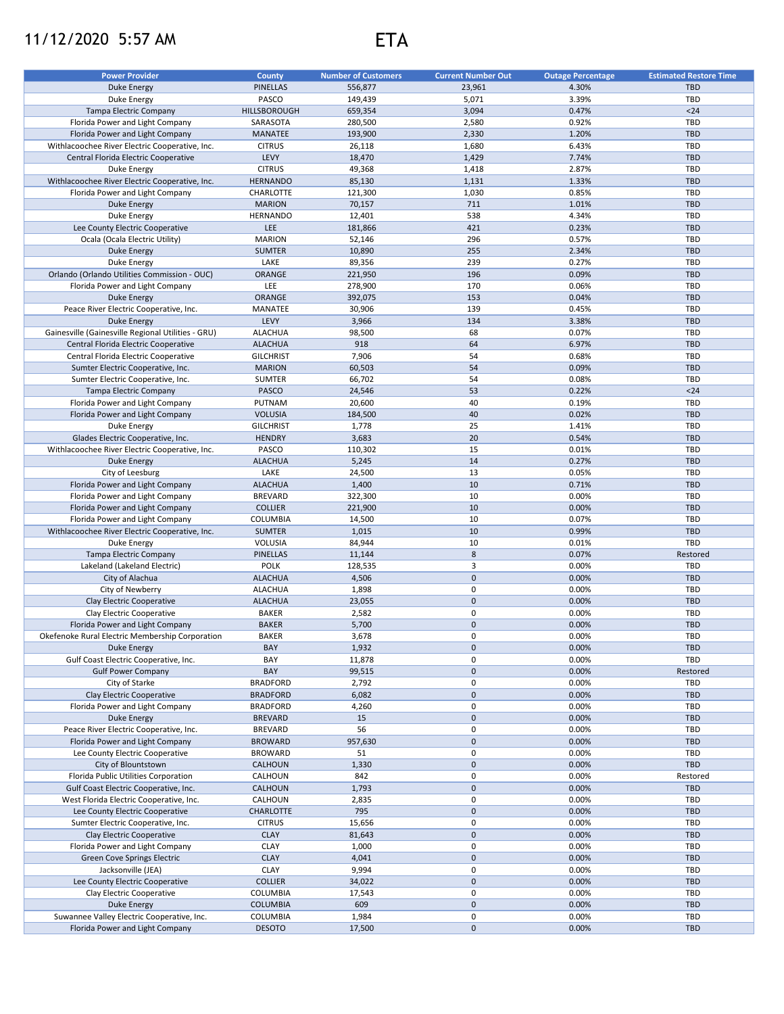## 11/12/2020 5:57 AM ETA

| <b>Power Provider</b>                                | County           | <b>Number of Customers</b> | <b>Current Number Out</b> | <b>Outage Percentage</b> | <b>Estimated Restore Time</b> |
|------------------------------------------------------|------------------|----------------------------|---------------------------|--------------------------|-------------------------------|
| <b>Duke Energy</b>                                   | <b>PINELLAS</b>  | 556,877                    | 23,961                    | 4.30%                    | <b>TBD</b>                    |
| Duke Energy                                          | PASCO            | 149,439                    | 5,071                     | 3.39%                    | TBD                           |
| Tampa Electric Company                               | HILLSBOROUGH     | 659,354                    | 3,094                     | 0.47%                    | $24$                          |
| Florida Power and Light Company                      | SARASOTA         | 280,500                    | 2,580                     | 0.92%                    | TBD                           |
| Florida Power and Light Company                      | <b>MANATEE</b>   | 193,900                    | 2,330                     | 1.20%                    | <b>TBD</b>                    |
| Withlacoochee River Electric Cooperative, Inc.       | <b>CITRUS</b>    | 26,118                     | 1,680                     | 6.43%                    | <b>TBD</b>                    |
| Central Florida Electric Cooperative                 | LEVY             | 18,470                     | 1,429                     | 7.74%                    | <b>TBD</b>                    |
| Duke Energy                                          | <b>CITRUS</b>    | 49,368                     | 1,418                     | 2.87%                    | <b>TBD</b>                    |
| Withlacoochee River Electric Cooperative, Inc.       | <b>HERNANDO</b>  | 85,130                     | 1,131                     | 1.33%                    | <b>TBD</b>                    |
| Florida Power and Light Company                      | CHARLOTTE        | 121,300                    | 1,030                     | 0.85%                    | <b>TBD</b>                    |
| Duke Energy                                          | <b>MARION</b>    | 70,157                     | 711                       | 1.01%                    | <b>TBD</b>                    |
| Duke Energy                                          | <b>HERNANDO</b>  | 12,401                     | 538                       | 4.34%                    | <b>TBD</b>                    |
| Lee County Electric Cooperative                      | LEE              | 181,866                    | 421                       | 0.23%                    | <b>TBD</b>                    |
|                                                      | <b>MARION</b>    | 52,146                     | 296                       | 0.57%                    | TBD                           |
| Ocala (Ocala Electric Utility)<br><b>Duke Energy</b> | <b>SUMTER</b>    | 10,890                     | 255                       | 2.34%                    | <b>TBD</b>                    |
| Duke Energy                                          | LAKE             | 89,356                     | 239                       | 0.27%                    | TBD                           |
| Orlando (Orlando Utilities Commission - OUC)         | ORANGE           | 221,950                    | 196                       | 0.09%                    | <b>TBD</b>                    |
| Florida Power and Light Company                      | LEE              | 278,900                    | 170                       | 0.06%                    | <b>TBD</b>                    |
| <b>Duke Energy</b>                                   | ORANGE           | 392,075                    | 153                       | 0.04%                    | <b>TBD</b>                    |
|                                                      | MANATEE          |                            | 139                       | 0.45%                    | <b>TBD</b>                    |
| Peace River Electric Cooperative, Inc.               |                  | 30,906                     |                           |                          |                               |
| <b>Duke Energy</b>                                   | LEVY             | 3,966                      | 134                       | 3.38%                    | <b>TBD</b>                    |
| Gainesville (Gainesville Regional Utilities - GRU)   | <b>ALACHUA</b>   | 98,500                     | 68                        | 0.07%                    | TBD                           |
| Central Florida Electric Cooperative                 | <b>ALACHUA</b>   | 918                        | 64                        | 6.97%                    | <b>TBD</b>                    |
| Central Florida Electric Cooperative                 | <b>GILCHRIST</b> | 7,906                      | 54                        | 0.68%                    | TBD                           |
| Sumter Electric Cooperative, Inc.                    | <b>MARION</b>    | 60,503                     | 54                        | 0.09%                    | <b>TBD</b>                    |
| Sumter Electric Cooperative, Inc.                    | <b>SUMTER</b>    | 66,702                     | 54                        | 0.08%                    | TBD                           |
| Tampa Electric Company                               | <b>PASCO</b>     | 24,546                     | 53                        | 0.22%                    | $24$                          |
| Florida Power and Light Company                      | PUTNAM           | 20,600                     | 40                        | 0.19%                    | TBD                           |
| Florida Power and Light Company                      | <b>VOLUSIA</b>   | 184,500                    | 40                        | 0.02%                    | <b>TBD</b>                    |
| Duke Energy                                          | <b>GILCHRIST</b> | 1,778                      | 25                        | 1.41%                    | TBD                           |
| Glades Electric Cooperative, Inc.                    | <b>HENDRY</b>    | 3,683                      | 20                        | 0.54%                    | <b>TBD</b>                    |
| Withlacoochee River Electric Cooperative, Inc.       | PASCO            | 110,302                    | 15                        | 0.01%                    | TBD                           |
| Duke Energy                                          | <b>ALACHUA</b>   | 5,245                      | 14                        | 0.27%                    | <b>TBD</b>                    |
| City of Leesburg                                     | LAKE             | 24,500                     | 13                        | 0.05%                    | TBD                           |
| Florida Power and Light Company                      | <b>ALACHUA</b>   | 1,400                      | 10                        | 0.71%                    | <b>TBD</b>                    |
| Florida Power and Light Company                      | <b>BREVARD</b>   | 322,300                    | 10                        | 0.00%                    | <b>TBD</b>                    |
| Florida Power and Light Company                      | <b>COLLIER</b>   | 221,900                    | 10                        | 0.00%                    | <b>TBD</b>                    |
| Florida Power and Light Company                      | COLUMBIA         | 14,500                     | 10                        | 0.07%                    | TBD                           |
| Withlacoochee River Electric Cooperative, Inc.       | <b>SUMTER</b>    | 1,015                      | 10                        | 0.99%                    | TBD                           |
| Duke Energy                                          | <b>VOLUSIA</b>   | 84,944                     | 10                        | 0.01%                    | TBD                           |
| Tampa Electric Company                               | <b>PINELLAS</b>  | 11,144                     | $\bf 8$                   | 0.07%                    | Restored                      |
| Lakeland (Lakeland Electric)                         | POLK             | 128,535                    | 3                         | 0.00%                    | TBD                           |
| City of Alachua                                      | <b>ALACHUA</b>   | 4,506                      | $\pmb{0}$                 | 0.00%                    | <b>TBD</b>                    |
| City of Newberry                                     | <b>ALACHUA</b>   | 1,898                      | $\mathbf 0$               | 0.00%                    | TBD                           |
| Clay Electric Cooperative                            | <b>ALACHUA</b>   | 23,055                     | $\mathbf 0$               | 0.00%                    | <b>TBD</b>                    |
| Clay Electric Cooperative                            | <b>BAKER</b>     | 2,582                      | $\mathbf 0$               | 0.00%                    | TBD                           |
| Florida Power and Light Company                      | <b>BAKER</b>     | 5,700                      | $\mathbf 0$               | 0.00%                    | <b>TBD</b>                    |
| Okefenoke Rural Electric Membership Corporation      | <b>BAKER</b>     | 3,678                      | $\mathbf 0$               | 0.00%                    | TBD                           |
| Duke Energy                                          | BAY              | 1,932                      | $\pmb{0}$                 | 0.00%                    | <b>TBD</b>                    |
| Gulf Coast Electric Cooperative, Inc.                | BAY              | 11,878                     | 0                         | 0.00%                    | TBD                           |
| <b>Gulf Power Company</b>                            | BAY              | 99,515                     | $\mathbf 0$               | 0.00%                    | Restored                      |
| City of Starke                                       | <b>BRADFORD</b>  | 2,792                      | 0                         | 0.00%                    | TBD                           |
| Clay Electric Cooperative                            | <b>BRADFORD</b>  | 6,082                      | $\mathbf 0$               | 0.00%                    | <b>TBD</b>                    |
| Florida Power and Light Company                      | <b>BRADFORD</b>  | 4,260                      | 0                         | 0.00%                    | TBD                           |
| Duke Energy                                          | <b>BREVARD</b>   | 15                         | $\mathbf 0$               | 0.00%                    | <b>TBD</b>                    |
| Peace River Electric Cooperative, Inc.               | <b>BREVARD</b>   | 56                         | 0                         | 0.00%                    | TBD                           |
| Florida Power and Light Company                      | <b>BROWARD</b>   | 957,630                    | $\mathbf 0$               | 0.00%                    | <b>TBD</b>                    |
| Lee County Electric Cooperative                      | <b>BROWARD</b>   | 51                         | 0                         | 0.00%                    | TBD                           |
| City of Blountstown                                  | <b>CALHOUN</b>   | 1,330                      | $\mathsf{O}\xspace$       | 0.00%                    | <b>TBD</b>                    |
| Florida Public Utilities Corporation                 | CALHOUN          | 842                        | 0                         | 0.00%                    | Restored                      |
| Gulf Coast Electric Cooperative, Inc.                | CALHOUN          | 1,793                      | $\mathbf 0$               | 0.00%                    | <b>TBD</b>                    |
| West Florida Electric Cooperative, Inc.              | CALHOUN          | 2,835                      | 0                         | 0.00%                    | TBD                           |
| Lee County Electric Cooperative                      | <b>CHARLOTTE</b> | 795                        | $\mathbf 0$               | 0.00%                    | <b>TBD</b>                    |
| Sumter Electric Cooperative, Inc.                    | <b>CITRUS</b>    | 15,656                     | $\mathsf 0$               | 0.00%                    | <b>TBD</b>                    |
| Clay Electric Cooperative                            | <b>CLAY</b>      | 81,643                     | $\mathsf{O}\xspace$       | 0.00%                    | <b>TBD</b>                    |
| Florida Power and Light Company                      | <b>CLAY</b>      | 1,000                      | 0                         | 0.00%                    | <b>TBD</b>                    |
| Green Cove Springs Electric                          | <b>CLAY</b>      | 4,041                      | $\mathsf{O}\xspace$       | 0.00%                    | TBD                           |
| Jacksonville (JEA)                                   | CLAY             | 9,994                      | 0                         | 0.00%                    | <b>TBD</b>                    |
| Lee County Electric Cooperative                      | <b>COLLIER</b>   | 34,022                     | $\mathbf 0$               | 0.00%                    | <b>TBD</b>                    |
| Clay Electric Cooperative                            | COLUMBIA         | 17,543                     | 0                         | 0.00%                    | TBD                           |
| <b>Duke Energy</b>                                   | <b>COLUMBIA</b>  | 609                        | $\pmb{0}$                 | 0.00%                    | <b>TBD</b>                    |
| Suwannee Valley Electric Cooperative, Inc.           | COLUMBIA         | 1,984                      | 0                         | 0.00%                    | TBD                           |
| Florida Power and Light Company                      | <b>DESOTO</b>    | 17,500                     | $\mathbf 0$               | 0.00%                    | <b>TBD</b>                    |
|                                                      |                  |                            |                           |                          |                               |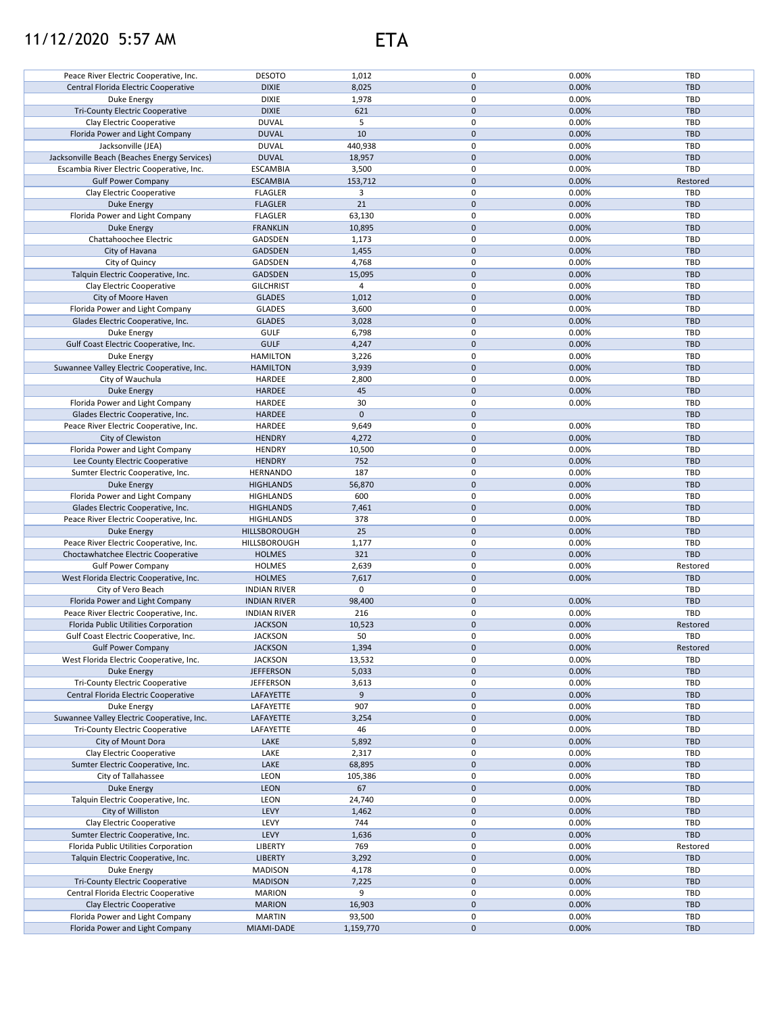## 11/12/2020 5:57 AM ETA



| Peace River Electric Cooperative, Inc.       | <b>DESOTO</b>       | 1,012        | 0                   | 0.00% | TBD        |
|----------------------------------------------|---------------------|--------------|---------------------|-------|------------|
|                                              |                     |              |                     |       |            |
| Central Florida Electric Cooperative         | <b>DIXIE</b>        | 8,025        | 0                   | 0.00% | <b>TBD</b> |
| Duke Energy                                  | <b>DIXIE</b>        | 1,978        | 0                   | 0.00% | <b>TBD</b> |
| Tri-County Electric Cooperative              | <b>DIXIE</b>        | 621          | 0                   | 0.00% | <b>TBD</b> |
|                                              |                     |              |                     |       |            |
| Clay Electric Cooperative                    | <b>DUVAL</b>        | 5            | 0                   | 0.00% | <b>TBD</b> |
| Florida Power and Light Company              | <b>DUVAL</b>        | 10           | $\mathbf 0$         | 0.00% | <b>TBD</b> |
| Jacksonville (JEA)                           | <b>DUVAL</b>        | 440,938      | $\mathsf 0$         | 0.00% | <b>TBD</b> |
|                                              |                     |              |                     |       |            |
| Jacksonville Beach (Beaches Energy Services) | <b>DUVAL</b>        | 18,957       | 0                   | 0.00% | <b>TBD</b> |
| Escambia River Electric Cooperative, Inc.    | <b>ESCAMBIA</b>     | 3,500        | $\mathbf 0$         | 0.00% | <b>TBD</b> |
|                                              |                     |              |                     |       |            |
| <b>Gulf Power Company</b>                    | <b>ESCAMBIA</b>     | 153,712      | 0                   | 0.00% | Restored   |
| Clay Electric Cooperative                    | <b>FLAGLER</b>      | 3            | $\mathsf 0$         | 0.00% | <b>TBD</b> |
| <b>Duke Energy</b>                           | <b>FLAGLER</b>      | 21           | $\mathbf 0$         | 0.00% | <b>TBD</b> |
|                                              |                     |              |                     |       |            |
| Florida Power and Light Company              | <b>FLAGLER</b>      | 63,130       | 0                   | 0.00% | <b>TBD</b> |
| <b>Duke Energy</b>                           | <b>FRANKLIN</b>     | 10,895       | $\mathbf 0$         | 0.00% | <b>TBD</b> |
|                                              |                     |              |                     |       |            |
| Chattahoochee Electric                       | GADSDEN             | 1,173        | 0                   | 0.00% | <b>TBD</b> |
| City of Havana                               | GADSDEN             | 1,455        | $\mathbf 0$         | 0.00% | <b>TBD</b> |
| City of Quincy                               | GADSDEN             | 4,768        | 0                   | 0.00% | TBD        |
|                                              |                     |              |                     |       |            |
| Talquin Electric Cooperative, Inc.           | GADSDEN             | 15,095       | $\mathbf 0$         | 0.00% | <b>TBD</b> |
| Clay Electric Cooperative                    | <b>GILCHRIST</b>    | 4            | $\pmb{0}$           | 0.00% | TBD        |
|                                              |                     |              |                     |       |            |
| City of Moore Haven                          | <b>GLADES</b>       | 1,012        | $\pmb{0}$           | 0.00% | <b>TBD</b> |
| Florida Power and Light Company              | <b>GLADES</b>       | 3,600        | $\mathsf 0$         | 0.00% | TBD        |
| Glades Electric Cooperative, Inc.            | <b>GLADES</b>       | 3,028        | $\mathsf{O}\xspace$ | 0.00% | <b>TBD</b> |
|                                              |                     |              |                     |       |            |
| Duke Energy                                  | <b>GULF</b>         | 6,798        | $\pmb{0}$           | 0.00% | <b>TBD</b> |
| Gulf Coast Electric Cooperative, Inc.        | <b>GULF</b>         | 4,247        | $\mathbf 0$         | 0.00% | <b>TBD</b> |
|                                              |                     |              |                     |       |            |
| Duke Energy                                  | <b>HAMILTON</b>     | 3,226        | 0                   | 0.00% | <b>TBD</b> |
| Suwannee Valley Electric Cooperative, Inc.   | <b>HAMILTON</b>     | 3,939        | $\mathbf 0$         | 0.00% | <b>TBD</b> |
|                                              |                     |              | 0                   | 0.00% | TBD        |
| City of Wauchula                             | HARDEE              | 2,800        |                     |       |            |
| <b>Duke Energy</b>                           | <b>HARDEE</b>       | 45           | $\mathbf 0$         | 0.00% | <b>TBD</b> |
| Florida Power and Light Company              | HARDEE              | 30           | 0                   | 0.00% | <b>TBD</b> |
|                                              |                     |              |                     |       |            |
| Glades Electric Cooperative, Inc.            | <b>HARDEE</b>       | $\mathbf{0}$ | $\mathbf{0}$        |       | <b>TBD</b> |
| Peace River Electric Cooperative, Inc.       | HARDEE              | 9,649        | 0                   | 0.00% | <b>TBD</b> |
|                                              | <b>HENDRY</b>       |              | $\mathbf 0$         |       | <b>TBD</b> |
| City of Clewiston                            |                     | 4,272        |                     | 0.00% |            |
| Florida Power and Light Company              | <b>HENDRY</b>       | 10,500       | 0                   | 0.00% | TBD        |
| Lee County Electric Cooperative              | <b>HENDRY</b>       | 752          | $\mathbf 0$         | 0.00% | <b>TBD</b> |
|                                              |                     |              |                     |       |            |
| Sumter Electric Cooperative, Inc.            | <b>HERNANDO</b>     | 187          | 0                   | 0.00% | TBD        |
| <b>Duke Energy</b>                           | <b>HIGHLANDS</b>    | 56,870       | 0                   | 0.00% | <b>TBD</b> |
|                                              |                     | 600          | $\mathsf 0$         |       | TBD        |
| Florida Power and Light Company              | <b>HIGHLANDS</b>    |              |                     | 0.00% |            |
| Glades Electric Cooperative, Inc.            | <b>HIGHLANDS</b>    | 7,461        | $\mathbf 0$         | 0.00% | <b>TBD</b> |
| Peace River Electric Cooperative, Inc.       | <b>HIGHLANDS</b>    | 378          | 0                   | 0.00% | TBD        |
|                                              |                     |              |                     |       |            |
| Duke Energy                                  | HILLSBOROUGH        | 25           | $\mathbf 0$         | 0.00% | <b>TBD</b> |
| Peace River Electric Cooperative, Inc.       | HILLSBOROUGH        | 1,177        | 0                   | 0.00% | TBD        |
|                                              |                     | 321          | $\mathbf 0$         | 0.00% | <b>TBD</b> |
| Choctawhatchee Electric Cooperative          | <b>HOLMES</b>       |              |                     |       |            |
| <b>Gulf Power Company</b>                    | <b>HOLMES</b>       | 2,639        | 0                   | 0.00% | Restored   |
| West Florida Electric Cooperative, Inc.      | <b>HOLMES</b>       | 7,617        | $\mathsf{O}\xspace$ | 0.00% | <b>TBD</b> |
|                                              |                     |              |                     |       |            |
| City of Vero Beach                           | <b>INDIAN RIVER</b> | 0            | $\mathsf 0$         |       | TBD        |
| Florida Power and Light Company              | <b>INDIAN RIVER</b> | 98,400       | $\mathsf{O}\xspace$ | 0.00% | <b>TBD</b> |
|                                              |                     | 216          | 0                   |       | TBD        |
| Peace River Electric Cooperative, Inc.       | <b>INDIAN RIVER</b> |              |                     | 0.00% |            |
| Florida Public Utilities Corporation         | <b>JACKSON</b>      | 10,523       | 0                   | 0.00% | Restored   |
|                                              | <b>JACKSON</b>      | 50           | 0                   | 0.00% | TBD        |
| Gulf Coast Electric Cooperative, Inc.        |                     |              |                     |       |            |
| <b>Gulf Power Company</b>                    | <b>JACKSON</b>      | 1,394        | $\pmb{0}$           | 0.00% | Restored   |
| West Florida Electric Cooperative, Inc.      | <b>JACKSON</b>      | 13,532       | 0                   | 0.00% | TBD        |
| Duke Energy                                  | <b>JEFFERSON</b>    | 5,033        | 0                   | 0.00% | TBD        |
|                                              |                     |              |                     |       |            |
| Tri-County Electric Cooperative              | <b>JEFFERSON</b>    | 3,613        | 0                   | 0.00% | <b>TBD</b> |
| Central Florida Electric Cooperative         | LAFAYETTE           | 9            | 0                   | 0.00% | <b>TBD</b> |
| Duke Energy                                  |                     | 907          | 0                   |       | <b>TBD</b> |
|                                              | LAFAYETTE           |              |                     | 0.00% |            |
| Suwannee Valley Electric Cooperative, Inc.   | LAFAYETTE           | 3,254        | 0                   | 0.00% | TBD        |
| <b>Tri-County Electric Cooperative</b>       | LAFAYETTE           | 46           | 0                   | 0.00% | <b>TBD</b> |
|                                              |                     |              |                     |       |            |
| City of Mount Dora                           | LAKE                | 5,892        | 0                   | 0.00% | <b>TBD</b> |
| Clay Electric Cooperative                    | LAKE                | 2,317        | 0                   | 0.00% | TBD        |
| Sumter Electric Cooperative, Inc.            | LAKE                | 68,895       | 0                   | 0.00% | <b>TBD</b> |
|                                              |                     |              |                     |       |            |
| City of Tallahassee                          | LEON                | 105,386      | 0                   | 0.00% | TBD        |
| Duke Energy                                  | <b>LEON</b>         | 67           | 0                   | 0.00% | <b>TBD</b> |
|                                              |                     |              |                     |       |            |
| Talquin Electric Cooperative, Inc.           | LEON                | 24,740       | 0                   | 0.00% | TBD        |
| City of Williston                            | LEVY                | 1,462        | 0                   | 0.00% | <b>TBD</b> |
| Clay Electric Cooperative                    | LEVY                | 744          | 0                   | 0.00% | TBD        |
|                                              |                     |              |                     |       |            |
| Sumter Electric Cooperative, Inc.            | LEVY                | 1,636        | $\mathsf{O}\xspace$ | 0.00% | <b>TBD</b> |
| Florida Public Utilities Corporation         | LIBERTY             | 769          | 0                   | 0.00% | Restored   |
| Talquin Electric Cooperative, Inc.           | <b>LIBERTY</b>      | 3,292        | 0                   | 0.00% | <b>TBD</b> |
|                                              |                     |              |                     |       |            |
| Duke Energy                                  | <b>MADISON</b>      | 4,178        | 0                   | 0.00% | TBD        |
| Tri-County Electric Cooperative              | <b>MADISON</b>      | 7,225        | 0                   | 0.00% | <b>TBD</b> |
|                                              |                     |              |                     |       |            |
| Central Florida Electric Cooperative         | <b>MARION</b>       | 9            | 0                   | 0.00% | TBD        |
| Clay Electric Cooperative                    | <b>MARION</b>       | 16,903       | 0                   | 0.00% | <b>TBD</b> |
| Florida Power and Light Company              | <b>MARTIN</b>       | 93,500       | 0                   | 0.00% | TBD        |
|                                              |                     |              |                     |       |            |
| Florida Power and Light Company              | MIAMI-DADE          | 1,159,770    | 0                   | 0.00% | <b>TBD</b> |